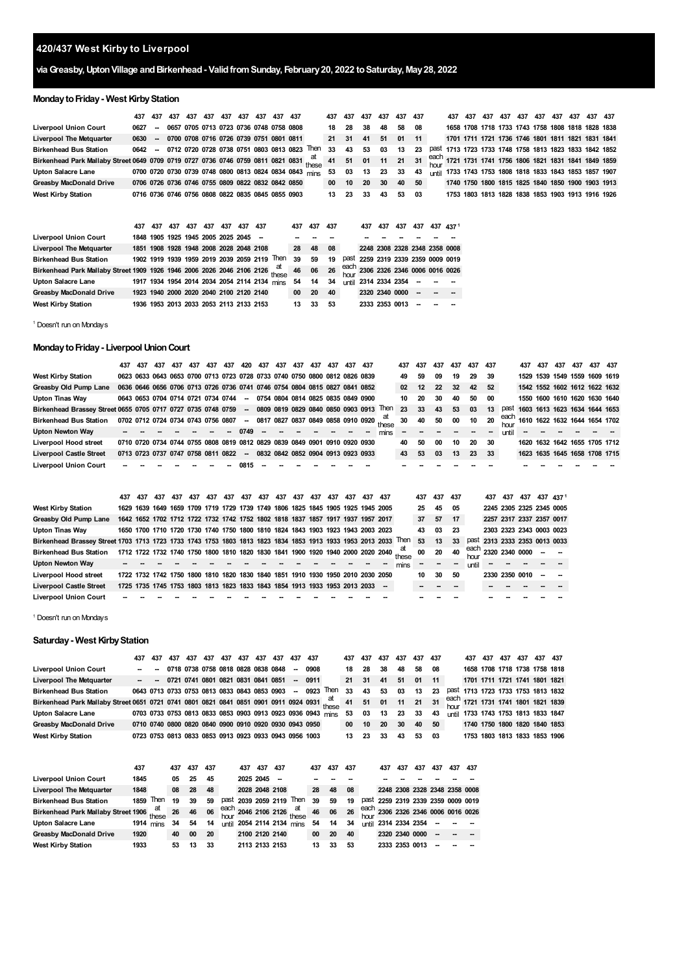# **420/437 West Kirby to Liverpool**

## **viaGreasby,UptonVillage andBirkenhead- ValidfromSunday, February20, 2022 toSaturday, May28, 2022**

## **Monday to Friday - West Kirby Station**

|                                                                                  | 437  | 437    | 437 | 437 | 437 | 437 | 437                                               | 437 | 437         | 437                                                    |             | 437 | 437          | 437            | 437            | 437                           | 437 |              | 437  | 437 | 437 | 437 | 437 | 437 | 437 | 437 | 437                                               | -437 |
|----------------------------------------------------------------------------------|------|--------|-----|-----|-----|-----|---------------------------------------------------|-----|-------------|--------------------------------------------------------|-------------|-----|--------------|----------------|----------------|-------------------------------|-----|--------------|------|-----|-----|-----|-----|-----|-----|-----|---------------------------------------------------|------|
| <b>Liverpool Union Court</b>                                                     | 0627 |        |     |     |     |     | 0657 0705 0713 0723 0736 0748 0758 0808           |     |             |                                                        |             | 18  | 28           | 38             | 48             | 58                            | 08  |              |      |     |     |     |     |     |     |     | 1658 1708 1718 1733 1743 1758 1808 1818 1828 1838 |      |
| <b>Liverpool The Metquarter</b>                                                  | 0630 | $\sim$ |     |     |     |     | 0700 0708 0716 0726 0739 0751 0801 0811           |     |             |                                                        |             | 21  | 31           | 41             | 51             | 01                            | 11  |              |      |     |     |     |     |     |     |     | 1701 1711 1721 1736 1746 1801 1811 1821 1831 1841 |      |
| <b>Birkenhead Bus Station</b>                                                    | 0642 |        |     |     |     |     |                                                   |     |             | 0712 0720 0728 0738 0751 0803 0813 0823                | Then        | 33  | 43           | 53             | 03             | 13                            | 23  | past         |      |     |     |     |     |     |     |     | 1713 1723 1733 1748 1758 1813 1823 1833 1842 1852 |      |
| Birkenhead Park Mallaby Street 0649 0709 0719 0727 0736 0746 0759 0811 0821 0831 |      |        |     |     |     |     |                                                   |     |             |                                                        | at<br>these | 41  | 51           | 01             | 11             | 21                            | 31  | each<br>hour | 1721 |     |     |     |     |     |     |     | 1731 1741 1756 1806 1821 1831 1841 1849 1859      |      |
| <b>Upton Salacre Lane</b>                                                        |      |        |     |     |     |     |                                                   |     |             | 0700 0720 0730 0739 0748 0800 0813 0824 0834 0843 mins |             | 53  | 03           | 13             | 23             | 33                            | 43  | <b>until</b> |      |     |     |     |     |     |     |     | 1733 1743 1753 1808 1818 1833 1843 1853 1857 1907 |      |
| <b>Greasby MacDonald Drive</b>                                                   |      |        |     |     |     |     | 0706 0726 0736 0746 0755 0809 0822 0832 0842 0850 |     |             |                                                        |             | 00  | 10           | 20             | 30             | 40                            | 50  |              |      |     |     |     |     |     |     |     | 1740 1750 1800 1815 1825 1840 1850 1900 1903 1913 |      |
| <b>West Kirby Station</b>                                                        |      |        |     |     |     |     | 0716 0736 0746 0756 0808 0822 0835 0845 0855 0903 |     |             |                                                        |             | 13  | 23           | 33             | 43             | 53                            | 03  |              |      |     |     |     |     |     |     |     | 1753 1803 1813 1828 1838 1853 1903 1913 1916 1926 |      |
|                                                                                  |      |        |     |     |     |     |                                                   |     |             |                                                        |             |     |              |                |                |                               |     |              |      |     |     |     |     |     |     |     |                                                   |      |
|                                                                                  | 437  | 437    | 437 | 437 | 437 | 437 | 437                                               | 437 |             | 437                                                    | 437         | 437 |              | 437            | 437            | 437                           | 437 | 437 4371     |      |     |     |     |     |     |     |     |                                                   |      |
| <b>Liverpool Union Court</b>                                                     |      |        |     |     |     |     | 1848 1905 1925 1945 2005 2025 2045                |     |             |                                                        |             |     |              |                |                |                               |     |              |      |     |     |     |     |     |     |     |                                                   |      |
| Liverpool The Metquarter                                                         |      |        |     |     |     |     | 1851 1908 1928 1948 2008 2028 2048 2108           |     |             | 28                                                     | 48          | 08  |              |                |                | 2248 2308 2328 2348 2358 0008 |     |              |      |     |     |     |     |     |     |     |                                                   |      |
| <b>Birkenhead Bus Station</b>                                                    |      |        |     |     |     |     | 1902 1919 1939 1959 2019 2039 2059 2119           |     | Then        | 39                                                     | 59          | 19  | past         |                |                | 2259 2319 2339 2359 0009 0019 |     |              |      |     |     |     |     |     |     |     |                                                   |      |
| Birkenhead Park Mallaby Street 1909 1926 1946 2006 2026 2046 2106 2126           |      |        |     |     |     |     |                                                   |     | at<br>these | 46                                                     | 06          | 26  | each<br>hour |                |                | 2306 2326 2346 0006 0016 0026 |     |              |      |     |     |     |     |     |     |     |                                                   |      |
| <b>Upton Salacre Lane</b>                                                        |      |        |     |     |     |     | 1917 1934 1954 2014 2034 2054 2114 2134 mins      |     |             | 54                                                     | 14          | 34  | until        | 2314 2334 2354 |                |                               |     |              |      |     |     |     |     |     |     |     |                                                   |      |
| <b>Greasby MacDonald Drive</b>                                                   |      |        |     |     |     |     | 1923 1940 2000 2020 2040 2100 2120 2140           |     |             | 00                                                     | 20          | 40  |              |                |                | 2320 2340 0000                |     |              |      |     |     |     |     |     |     |     |                                                   |      |
| <b>West Kirby Station</b>                                                        |      |        |     |     |     |     | 1936 1953 2013 2033 2053 2113 2133 2153           |     |             | 13                                                     | 33          | 53  |              |                | 2333 2353 0013 |                               |     |              |      |     |     |     |     |     |     |     |                                                   |      |

<span id="page-0-0"></span>Doesn't run on Mondays

# **MondaytoFriday- LiverpoolUnionCourt**

|                                                              | 437 | 437 | 437                                | 437 | 437 | 437 | 437 | 420                                                                        | 437 | 437 | 437 | 437 | 437 | 437 | 437                                                                        |                                          | 437             | 437 | 437 | 437 | 437   | 437 |       | 437 | 437 | 437 | 437 | 437 437 |                                    |
|--------------------------------------------------------------|-----|-----|------------------------------------|-----|-----|-----|-----|----------------------------------------------------------------------------|-----|-----|-----|-----|-----|-----|----------------------------------------------------------------------------|------------------------------------------|-----------------|-----|-----|-----|-------|-----|-------|-----|-----|-----|-----|---------|------------------------------------|
| <b>West Kirby Station</b>                                    |     |     |                                    |     |     |     |     | 0623 0633 0643 0653 0700 0713 0723 0728 0733 0740 0750 0800 0812 0826 0839 |     |     |     |     |     |     |                                                                            |                                          | 49              | 59  | 09  | 19  | 29    | 39  |       |     |     |     |     |         | 1529 1539 1549 1559 1609 1619      |
| Greasby Old Pump Lane                                        |     |     |                                    |     |     |     |     |                                                                            |     |     |     |     |     |     | 0636 0646 0656 0706 0713 0726 0736 0741 0746 0754 0804 0815 0827 0841 0852 |                                          | 02 <sup>°</sup> | 12  | 22  | 32  | 42    | 52  |       |     |     |     |     |         | 1542 1552 1602 1612 1622 1632      |
| Upton Tinas Way                                              |     |     | 0643 0653 0704 0714 0721 0734 0744 |     |     |     |     | $\sim$                                                                     |     |     |     |     |     |     | 0754 0804 0814 0825 0835 0849 0900                                         |                                          | 10              | 20  | 30  | 40  | 50    | 00  |       |     |     |     |     |         | 1550 1600 1610 1620 1630 1640      |
| Birkenhead Brassey Street 0655 0705 0717 0727 0735 0748 0759 |     |     |                                    |     |     |     |     | $\sim$                                                                     |     |     |     |     |     |     | 0809 0819 0829 0840 0850 0903 0913 Then                                    |                                          | 23              | 33  | 43  | 53  | 03    | 13  | past  |     |     |     |     |         | 1603 1613 1623 1634 1644 1653      |
| <b>Birkenhead Bus Station</b>                                |     |     | 0702 0712 0724 0734 0743 0756 0807 |     |     |     |     | $\sim$                                                                     |     |     |     |     |     |     |                                                                            | 0817 0827 0837 0849 0858 0910 0920 these | 30              | 40  | 50  | 00  | 10    | 20  |       |     |     |     |     |         | each 1610 1622 1632 1644 1654 1702 |
| Upton Newton Way                                             |     |     |                                    |     |     |     |     | 0749                                                                       |     |     |     |     |     |     |                                                                            | mins                                     |                 |     |     |     |       |     | until |     |     |     |     |         |                                    |
| <b>Liverpool Hood street</b>                                 |     |     |                                    |     |     |     |     | 0710 0720 0734 0744 0755 0808 0819 0812 0829 0839 0849 0901 0910 0920 0930 |     |     |     |     |     |     |                                                                            |                                          | 40              | 50  | 00  | 10  | 20    | 30  |       |     |     |     |     |         | 1620 1632 1642 1655 1705 1712      |
| <b>Liverpool Castle Street</b>                               |     |     | 0713 0723 0737 0747 0758 0811 0822 |     |     |     |     | $\sim$                                                                     |     |     |     |     |     |     | 0832 0842 0852 0904 0913 0923 0933                                         |                                          | 43              | 53  | 03  | 13  | 23 33 |     |       |     |     |     |     |         | 1623 1635 1645 1658 1708 1715      |
| <b>Liverpool Union Court</b>                                 |     |     |                                    |     |     |     |     | 0815                                                                       |     |     |     |     |     |     |                                                                            |                                          |                 |     |     |     |       |     |       |     |     |     |     |         |                                    |

|                                                                                                                | 437 | 437 | 437 | 437 | 437 | 437 | 437 | 437 | 437 | 437 | 437 | 437                                                                             | 437 | 437 | 437 437 |                          |       | 437 | 437 437 |        |       | 437                      | 437 | 437 437 437 1 |    |                               |
|----------------------------------------------------------------------------------------------------------------|-----|-----|-----|-----|-----|-----|-----|-----|-----|-----|-----|---------------------------------------------------------------------------------|-----|-----|---------|--------------------------|-------|-----|---------|--------|-------|--------------------------|-----|---------------|----|-------------------------------|
| <b>West Kirby Station</b>                                                                                      |     |     |     |     |     |     |     |     |     |     |     | 1629 1639 1649 1659 1709 1719 1729 1739 1749 1806 1825 1845 1905 1925 1945 2005 |     |     |         |                          |       | 25  | 45      | 05     |       |                          |     |               |    | 2245 2305 2325 2345 0005      |
| Greasby Old Pump Lane                                                                                          |     |     |     |     |     |     |     |     |     |     |     | 1642 1652 1702 1712 1722 1732 1742 1752 1802 1818 1837 1857 1917 1937 1957 2017 |     |     |         |                          |       | 37  | 57      | 17     |       | 2257 2317 2337 2357 0017 |     |               |    |                               |
| Upton Tinas Way                                                                                                |     |     |     |     |     |     |     |     |     |     |     | 1650 1700 1710 1720 1730 1740 1750 1800 1810 1824 1843 1903 1923 1943 2003 2023 |     |     |         |                          |       | 43  | 03      | 23     |       | 2303 2323 2343 0003 0023 |     |               |    |                               |
| Birkenhead Brassey Street 1703 1713 1723 1733 1743 1753 1803 1813 1823 1834 1853 1913 1933 1953 2013 2033 Then |     |     |     |     |     |     |     |     |     |     |     |                                                                                 |     |     |         |                          |       | 53  | 13      | 33     |       |                          |     |               |    | past 2313 2333 2353 0013 0033 |
| <b>Birkenhead Bus Station</b>                                                                                  |     |     |     |     |     |     |     |     |     |     |     | 1712 1722 1732 1740 1750 1800 1810 1820 1830 1841 1900 1920 1940 2000 2020 2040 |     |     |         |                          | these | 00  | 20      | 40     |       | each 2320 2340 0000 - -  |     |               |    |                               |
| <b>Upton Newton Way</b>                                                                                        |     |     |     |     |     |     |     |     |     |     |     |                                                                                 |     |     |         |                          | mins  |     | $\sim$  | $\sim$ | until |                          |     |               |    |                               |
| Liverpool Hood street                                                                                          |     |     |     |     |     |     |     |     |     |     |     | 1722 1732 1742 1750 1800 1810 1820 1830 1840 1851 1910 1930 1950 2010 2030 2050 |     |     |         |                          |       | 10  | 30      | 50     |       | 2330 2350 0010           |     |               | -- |                               |
| <b>Liverpool Castle Street</b>                                                                                 |     |     |     |     |     |     |     |     |     |     |     | 1725 1735 1745 1753 1803 1813 1823 1833 1843 1854 1913 1933 1953 2013 2033      |     |     |         | $\overline{\phantom{a}}$ |       |     |         |        |       |                          |     |               |    |                               |
| <b>Liverpool Union Court</b>                                                                                   |     |     |     |     |     |     |     |     |     |     |     |                                                                                 |     |     |         |                          |       |     |         |        |       |                          |     |               |    |                               |

Doesn't run on Mondays

#### **Saturday - West Kirby Station**

|                                                                                                                                                                              | 437 | 437 | 437 | 437 | 437 437 |  | 437 437 437 | 437 437                                                |                                                                | 437             | 437         | 437      | 437 | 437 437 |      |  | 437 437 437 |                                     | 437 437 437 |                                    |
|------------------------------------------------------------------------------------------------------------------------------------------------------------------------------|-----|-----|-----|-----|---------|--|-------------|--------------------------------------------------------|----------------------------------------------------------------|-----------------|-------------|----------|-----|---------|------|--|-------------|-------------------------------------|-------------|------------------------------------|
| <b>Liverpool Union Court</b>                                                                                                                                                 |     |     |     |     |         |  |             | $ -$ 0718 0738 0758 0818 0828 0838 0848 $-$ 0908       |                                                                | 18              |             | 28 38 48 |     | 58      | - 08 |  |             |                                     |             | 1658 1708 1718 1738 1758 1818      |
| <b>Liverpool The Metquarter</b>                                                                                                                                              |     |     |     |     |         |  |             | $ -$ 0721 0741 0801 0821 0831 0841 0851 $-$ 0911       |                                                                | 21              | 31          | 41 51 01 |     |         | 11   |  |             |                                     |             | 1701 1711 1721 1741 1801 1821      |
| <b>Birkenhead Bus Station</b>                                                                                                                                                |     |     |     |     |         |  |             |                                                        | 0643 0713 0733 0753 0813 0833 0843 0853 0903 - 0923 Then       | 33              |             | 43 53    | 03  | 13      | 23   |  |             |                                     |             | past 1713 1723 1733 1753 1813 1832 |
| Birkenhead Park Mallaby Street 0651 0721 0741 0801 0821 0841 0851 0901 0911 0924 0931 $\frac{at}{these}$ 41 51 01 11 21 31 $\frac{each}{have}$ 1721 1731 1741 1801 1821 1839 |     |     |     |     |         |  |             |                                                        |                                                                |                 |             |          |     |         |      |  |             |                                     |             |                                    |
| <b>Upton Salacre Lane</b>                                                                                                                                                    |     |     |     |     |         |  |             |                                                        | 0703 0733 0753 0813 0833 0853 0903 0913 0923 0936 0943 mins 53 |                 | 03 13 23 33 |          |     |         | - 43 |  |             | until 1733 1743 1753 1813 1833 1847 |             |                                    |
| <b>Greasby MacDonald Drive</b>                                                                                                                                               |     |     |     |     |         |  |             | 0710 0740 0800 0820 0840 0900 0910 0920 0930 0943 0950 |                                                                | 00              |             | 10 20 30 |     | 40 50   |      |  |             |                                     |             | 1740 1750 1800 1820 1840 1853      |
| <b>West Kirby Station</b>                                                                                                                                                    |     |     |     |     |         |  |             | 0723 0753 0813 0833 0853 0913 0923 0933 0943 0956 1003 |                                                                | 13 <sup>7</sup> | 23          | 33       | 43  | 53 03   |      |  |             |                                     |             | 1753 1803 1813 1833 1853 1906      |

|                                           | 437                   |      | 437 | 437 | 437 | 437 | 437            | 437 |                                        | 437 | 437 | 437 |      | 437                  | 437 | 437 | 437    | 437 | -437                               |
|-------------------------------------------|-----------------------|------|-----|-----|-----|-----|----------------|-----|----------------------------------------|-----|-----|-----|------|----------------------|-----|-----|--------|-----|------------------------------------|
| <b>Liverpool Union Court</b>              | 1845                  |      | 05  | 25  | 45  |     | 2025 2045      |     |                                        |     |     |     |      |                      |     |     |        |     |                                    |
| <b>Liverpool The Metquarter</b>           | 1848                  |      | 08  | 28  | 48  |     | 2028 2048 2108 |     |                                        | 28  | 48  | 08  |      |                      |     |     |        |     | 2248 2308 2328 2348 2358 0008      |
| <b>Birkenhead Bus Station</b>             | 1859                  | Then | 19  | 39  | 59  |     |                |     | past 2039 2059 2119 Then               | 39  | 59  | 19  | past |                      |     |     |        |     | 2259 2319 2339 2359 0009 0019      |
| Birkenhead Park Mallaby Street 1906 these |                       |      | 26  | 46  | 06  |     |                |     | each 2046 2106 2126 $\frac{at}{these}$ | 46  | 06  | 26  |      |                      |     |     |        |     | each 2306 2326 2346 0006 0016 0026 |
| Upton Salacre Lane                        | 1914 $\mathrm{m}$ ins |      | 34  | 54  | 14  |     |                |     | until 2054 2114 2134 mins              | 54  | 14  | 34  |      | until 2314 2334 2354 |     |     | $\sim$ |     |                                    |
| <b>Greasby MacDonald Drive</b>            | 1920                  |      | 40  | 00  | 20  |     | 2100 2120 2140 |     |                                        | 00  | 20  | 40  |      | 2320 2340 0000       |     |     | --     |     |                                    |
| <b>West Kirby Station</b>                 | 1933                  |      | 53  | 13  | 33  |     | 2113 2133 2153 |     |                                        | 13  | 33  | 53  |      | 2333 2353 0013       |     |     |        |     |                                    |